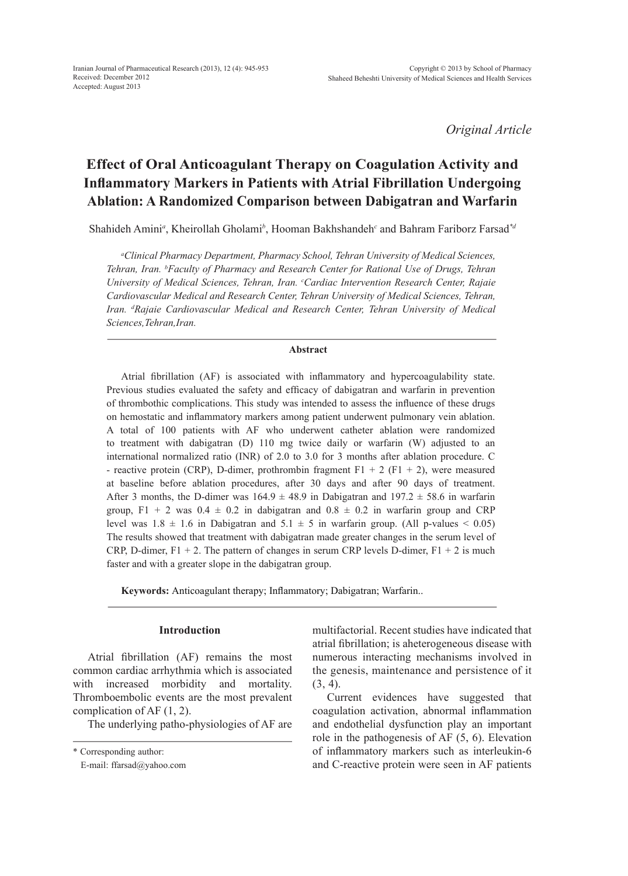*Original Article*

# **Effect of Oral Anticoagulant Therapy on Coagulation Activity and Inflammatory Markers in Patients with Atrial Fibrillation Undergoing Ablation: A Randomized Comparison between Dabigatran and Warfarin**

Shahideh Amini<sup>a</sup>, Kheirollah Gholami<sup>b</sup>, Hooman Bakhshandeh<sup>c</sup> and Bahram Fariborz Farsad<sup>\*a</sup>

*a Clinical Pharmacy Department, Pharmacy School, Tehran University of Medical Sciences, Tehran, Iran. b Faculty of Pharmacy and Research Center for Rational Use of Drugs, Tehran University of Medical Sciences, Tehran, Iran. c Cardiac Intervention Research Center, Rajaie Cardiovascular Medical and Research Center, Tehran University of Medical Sciences, Tehran,*  Iran. <sup>*d*</sup>Rajaie Cardiovascular Medical and Research Center, Tehran University of Medical *Sciences,Tehran,Iran.*

### **Abstract**

Atrial fibrillation (AF) is associated with inflammatory and hypercoagulability state. Previous studies evaluated the safety and efficacy of dabigatran and warfarin in prevention of thrombothic complications. This study was intended to assess the influence of these drugs on hemostatic and inflammatory markers among patient underwent pulmonary vein ablation. A total of 100 patients with AF who underwent catheter ablation were randomized to treatment with dabigatran (D) 110 mg twice daily or warfarin (W) adjusted to an international normalized ratio (INR) of 2.0 to 3.0 for 3 months after ablation procedure. C - reactive protein (CRP), D-dimer, prothrombin fragment  $F1 + 2$  ( $F1 + 2$ ), were measured at baseline before ablation procedures, after 30 days and after 90 days of treatment. After 3 months, the D-dimer was  $164.9 \pm 48.9$  in Dabigatran and  $197.2 \pm 58.6$  in warfarin group, F1 + 2 was  $0.4 \pm 0.2$  in dabigatran and  $0.8 \pm 0.2$  in warfarin group and CRP level was  $1.8 \pm 1.6$  in Dabigatran and  $5.1 \pm 5$  in warfarin group. (All p-values < 0.05) The results showed that treatment with dabigatran made greater changes in the serum level of CRP, D-dimer,  $F1 + 2$ . The pattern of changes in serum CRP levels D-dimer,  $F1 + 2$  is much faster and with a greater slope in the dabigatran group.

**Keywords:** Anticoagulant therapy; Inflammatory; Dabigatran; Warfarin..

### **Introduction**

Atrial fibrillation (AF) remains the most common cardiac arrhythmia which is associated with increased morbidity and mortality. Thromboembolic events are the most prevalent complication of AF (1, 2).

The underlying patho-physiologies of AF are

multifactorial. Recent studies have indicated that atrial fibrillation; is aheterogeneous disease with numerous interacting mechanisms involved in the genesis, maintenance and persistence of it (3, 4).

Current evidences have suggested that coagulation activation, abnormal inflammation and endothelial dysfunction play an important role in the pathogenesis of AF (5, 6). Elevation of inflammatory markers such as interleukin-6 and C-reactive protein were seen in AF patients

<sup>\*</sup> Corresponding author:

E-mail: ffarsad@yahoo.com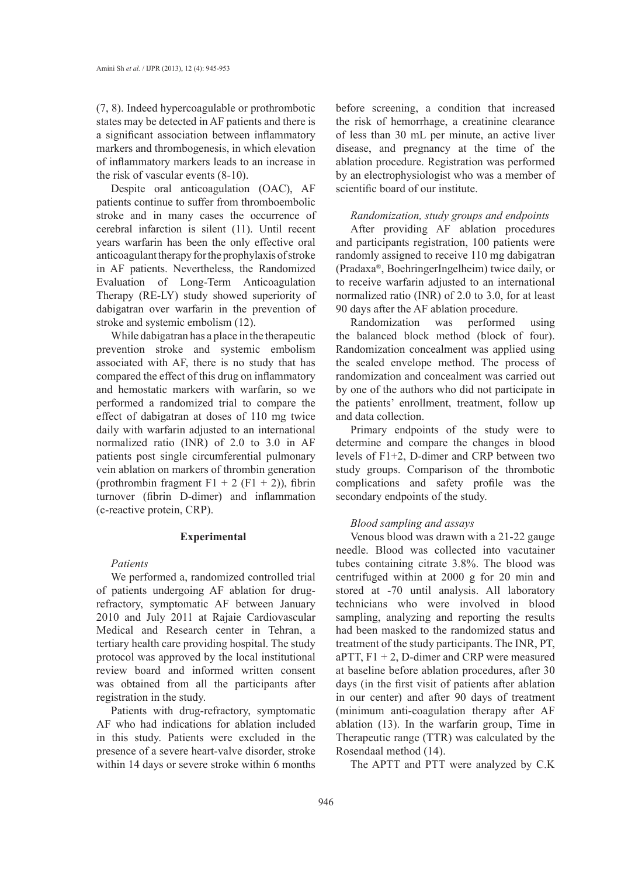(7, 8). Indeed hypercoagulable or prothrombotic states may be detected in AF patients and there is a significant association between inflammatory markers and thrombogenesis, in which elevation of inflammatory markers leads to an increase in the risk of vascular events (8-10).

Despite oral anticoagulation (OAC), AF patients continue to suffer from thromboembolic stroke and in many cases the occurrence of cerebral infarction is silent (11). Until recent years warfarin has been the only effective oral anticoagulant therapy for the prophylaxis of stroke in AF patients. Nevertheless, the Randomized Evaluation of Long-Term Anticoagulation Therapy (RE-LY) study showed superiority of dabigatran over warfarin in the prevention of stroke and systemic embolism (12).

While dabigatran has a place in the therapeutic prevention stroke and systemic embolism associated with AF, there is no study that has compared the effect of this drug on inflammatory and hemostatic markers with warfarin, so we performed a randomized trial to compare the effect of dabigatran at doses of 110 mg twice daily with warfarin adjusted to an international normalized ratio (INR) of 2.0 to 3.0 in AF patients post single circumferential pulmonary vein ablation on markers of thrombin generation (prothrombin fragment  $F1 + 2$  ( $F1 + 2$ )), fibrin turnover (fibrin D-dimer) and inflammation (c-reactive protein, CRP).

### **Experimental**

# *Patients*

We performed a, randomized controlled trial of patients undergoing AF ablation for drugrefractory, symptomatic AF between January 2010 and July 2011 at Rajaie Cardiovascular Medical and Research center in Tehran, a tertiary health care providing hospital. The study protocol was approved by the local institutional review board and informed written consent was obtained from all the participants after registration in the study.

Patients with drug-refractory, symptomatic AF who had indications for ablation included in this study. Patients were excluded in the presence of a severe heart-valve disorder, stroke within 14 days or severe stroke within 6 months before screening, a condition that increased the risk of hemorrhage, a creatinine clearance of less than 30 mL per minute, an active liver disease, and pregnancy at the time of the ablation procedure. Registration was performed by an electrophysiologist who was a member of scientific board of our institute.

# *Randomization, study groups and endpoints*

After providing AF ablation procedures and participants registration, 100 patients were randomly assigned to receive 110 mg dabigatran (Pradaxa®, BoehringerIngelheim) twice daily, or to receive warfarin adjusted to an international normalized ratio (INR) of 2.0 to 3.0, for at least 90 days after the AF ablation procedure.

Randomization was performed using the balanced block method (block of four). Randomization concealment was applied using the sealed envelope method. The process of randomization and concealment was carried out by one of the authors who did not participate in the patients' enrollment, treatment, follow up and data collection.

Primary endpoints of the study were to determine and compare the changes in blood levels of F1+2, D-dimer and CRP between two study groups. Comparison of the thrombotic complications and safety profile was the secondary endpoints of the study.

# *Blood sampling and assays*

Venous blood was drawn with a 21-22 gauge needle. Blood was collected into vacutainer tubes containing citrate 3.8%. The blood was centrifuged within at 2000 g for 20 min and stored at -70 until analysis. All laboratory technicians who were involved in blood sampling, analyzing and reporting the results had been masked to the randomized status and treatment of the study participants. The INR, PT, aPTT,  $F1 + 2$ , D-dimer and CRP were measured at baseline before ablation procedures, after 30 days (in the first visit of patients after ablation in our center) and after 90 days of treatment (minimum anti-coagulation therapy after AF ablation (13). In the warfarin group, Time in Therapeutic range (TTR) was calculated by the Rosendaal method (14).

The APTT and PTT were analyzed by C.K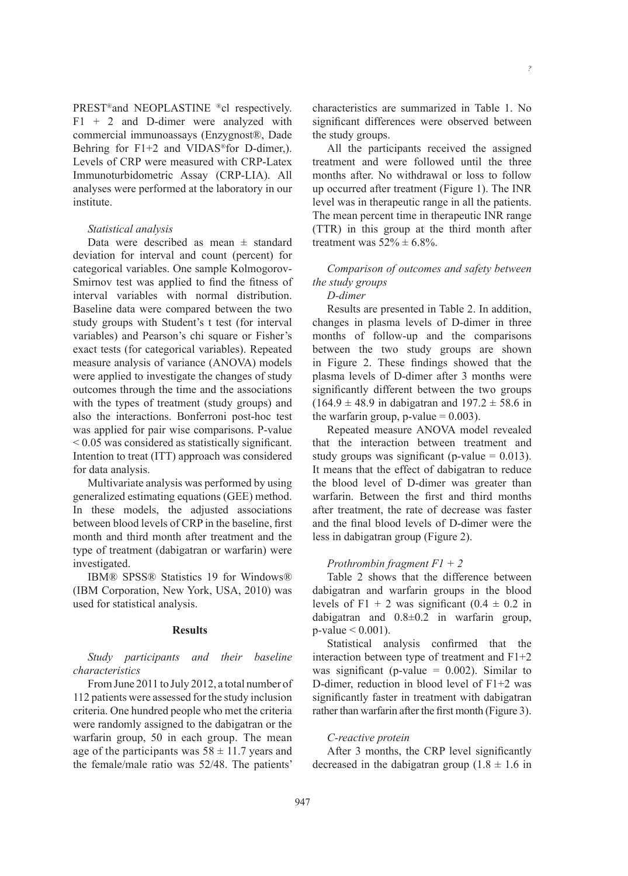*?*

PREST®and NEOPLASTINE ®cl respectively.  $F1 + 2$  and D-dimer were analyzed with commercial immunoassays (Enzygnost®, Dade Behring for F1+2 and VIDAS<sup>®</sup>for D-dimer,). Levels of CRP were measured with CRP-Latex Immunoturbidometric Assay (CRP-LIA). All analyses were performed at the laboratory in our institute.

### *Statistical analysis*

Data were described as mean  $\pm$  standard deviation for interval and count (percent) for categorical variables. One sample Kolmogorov-Smirnov test was applied to find the fitness of interval variables with normal distribution. Baseline data were compared between the two study groups with Student's t test (for interval variables) and Pearson's chi square or Fisher's exact tests (for categorical variables). Repeated measure analysis of variance (ANOVA) models were applied to investigate the changes of study outcomes through the time and the associations with the types of treatment (study groups) and also the interactions. Bonferroni post-hoc test was applied for pair wise comparisons. P-value < 0.05 was considered as statistically significant. Intention to treat (ITT) approach was considered for data analysis.

Multivariate analysis was performed by using generalized estimating equations (GEE) method. In these models, the adjusted associations between blood levels of CRP in the baseline, first month and third month after treatment and the type of treatment (dabigatran or warfarin) were investigated.

IBM® SPSS® Statistics 19 for Windows® (IBM Corporation, New York, USA, 2010) was used for statistical analysis.

# **Results**

*Study participants and their baseline characteristics*

From June 2011 to July 2012, a total number of 112 patients were assessed for the study inclusion criteria. One hundred people who met the criteria were randomly assigned to the dabigatran or the warfarin group, 50 in each group. The mean age of the participants was  $58 \pm 11.7$  years and the female/male ratio was 52/48. The patients'

characteristics are summarized in Table 1. No significant differences were observed between the study groups.

All the participants received the assigned treatment and were followed until the three months after. No withdrawal or loss to follow up occurred after treatment (Figure 1). The INR level was in therapeutic range in all the patients. The mean percent time in therapeutic INR range (TTR) in this group at the third month after treatment was  $52\% \pm 6.8\%$ .

# *Comparison of outcomes and safety between the study groups*

# *D-dimer*

Results are presented in Table 2. In addition, changes in plasma levels of D-dimer in three months of follow-up and the comparisons between the two study groups are shown in Figure 2. These findings showed that the plasma levels of D-dimer after 3 months were significantly different between the two groups  $(164.9 \pm 48.9 \text{ in dabigatran and } 197.2 \pm 58.6 \text{ in}$ the warfarin group,  $p$ -value = 0.003).

Repeated measure ANOVA model revealed that the interaction between treatment and study groups was significant (p-value  $= 0.013$ ). It means that the effect of dabigatran to reduce the blood level of D-dimer was greater than warfarin. Between the first and third months after treatment, the rate of decrease was faster and the final blood levels of D-dimer were the less in dabigatran group (Figure 2).

# *Prothrombin fragment F1 + 2*

Table 2 shows that the difference between dabigatran and warfarin groups in the blood levels of F1 + 2 was significant  $(0.4 \pm 0.2 \text{ in}$ dabigatran and 0.8±0.2 in warfarin group,  $p$ -value  $< 0.001$ ).

Statistical analysis confirmed that the interaction between type of treatment and F1+2 was significant (p-value  $= 0.002$ ). Similar to D-dimer, reduction in blood level of F1+2 was significantly faster in treatment with dabigatran rather than warfarin after the first month (Figure 3).

### *C-reactive protein*

After 3 months, the CRP level significantly decreased in the dabigatran group  $(1.8 \pm 1.6 \text{ in}$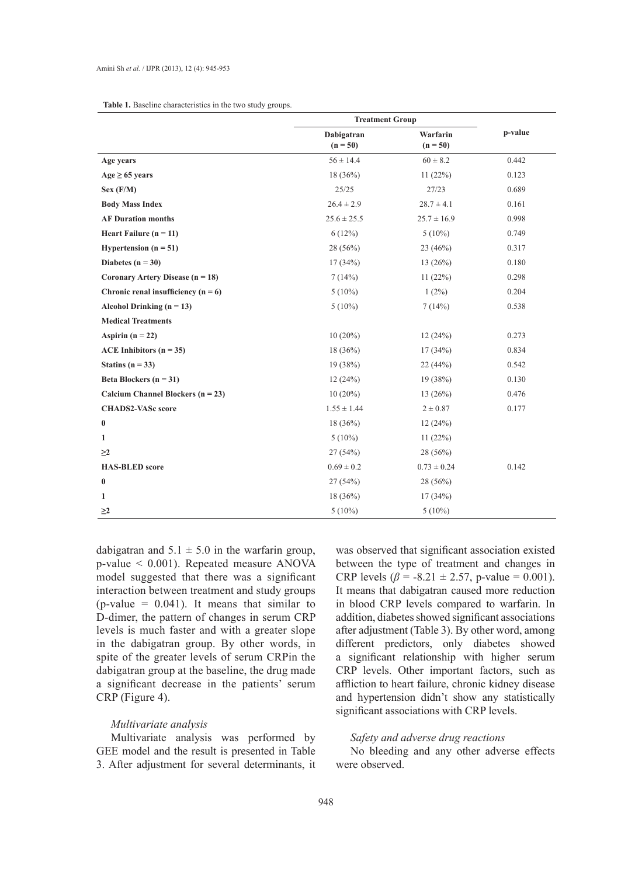| <b>Table 1.</b> Baseline characteristics in the two study groups. |  |  |  |  |
|-------------------------------------------------------------------|--|--|--|--|
|-------------------------------------------------------------------|--|--|--|--|

|                                       | <b>Treatment Group</b>   |                        |         |
|---------------------------------------|--------------------------|------------------------|---------|
|                                       | Dabigatran<br>$(n = 50)$ | Warfarin<br>$(n = 50)$ | p-value |
| Age years                             | $56 \pm 14.4$            | $60 \pm 8.2$           | 0.442   |
| $Age \geq 65 \text{ years}$           | $18(36\%)$               | 11(22%)                | 0.123   |
| Sex (F/M)                             | 25/25                    | 27/23                  | 0.689   |
| <b>Body Mass Index</b>                | $26.4 \pm 2.9$           | $28.7 \pm 4.1$         | 0.161   |
| <b>AF Duration months</b>             | $25.6 \pm 25.5$          | $25.7 \pm 16.9$        | 0.998   |
| Heart Failure $(n = 11)$              | 6(12%)                   | $5(10\%)$              | 0.749   |
| Hypertension $(n = 51)$               | $28(56\%)$               | 23(46%)                | 0.317   |
| Diabetes $(n = 30)$                   | 17(34%)                  | 13(26%)                | 0.180   |
| Coronary Artery Disease ( $n = 18$ )  | 7(14%)                   | 11(22%)                | 0.298   |
| Chronic renal insufficiency $(n = 6)$ | $5(10\%)$                | $1(2\%)$               | 0.204   |
| Alcohol Drinking ( $n = 13$ )         | $5(10\%)$                | 7(14%)                 | 0.538   |
| <b>Medical Treatments</b>             |                          |                        |         |
| Aspirin $(n = 22)$                    | $10(20\%)$               | 12(24%)                | 0.273   |
| ACE Inhibitors ( $n = 35$ )           | $18(36\%)$               | 17(34%)                | 0.834   |
| Statins ( $n = 33$ )                  | 19(38%)                  | 22(44%)                | 0.542   |
| Beta Blockers $(n = 31)$              | 12(24%)                  | 19(38%)                | 0.130   |
| Calcium Channel Blockers ( $n = 23$ ) | $10(20\%)$               | 13(26%)                | 0.476   |
| <b>CHADS2-VASc score</b>              | $1.55 \pm 1.44$          | $2 \pm 0.87$           | 0.177   |
| $\bf{0}$                              | $18(36\%)$               | 12(24%)                |         |
| 1                                     | $5(10\%)$                | 11(22%)                |         |
| $\geq$ 2                              | 27(54%)                  | 28 (56%)               |         |
| <b>HAS-BLED</b> score                 | $0.69 \pm 0.2$           | $0.73 \pm 0.24$        | 0.142   |
| $\bf{0}$                              | 27(54%)                  | $28(56\%)$             |         |
| 1                                     | $18(36\%)$               | 17(34%)                |         |
| $\geq$ 2                              | $5(10\%)$                | $5(10\%)$              |         |

dabigatran and  $5.1 \pm 5.0$  in the warfarin group, p-value < 0.001). Repeated measure ANOVA model suggested that there was a significant interaction between treatment and study groups (p-value =  $0.041$ ). It means that similar to D-dimer, the pattern of changes in serum CRP levels is much faster and with a greater slope in the dabigatran group. By other words, in spite of the greater levels of serum CRPin the dabigatran group at the baseline, the drug made a significant decrease in the patients' serum CRP (Figure 4).

### *Multivariate analysis*

Multivariate analysis was performed by GEE model and the result is presented in Table 3. After adjustment for several determinants, it was observed that significant association existed between the type of treatment and changes in CRP levels ( $\beta$  = -8.21 ± 2.57, p-value = 0.001). It means that dabigatran caused more reduction in blood CRP levels compared to warfarin. In addition, diabetes showed significant associations after adjustment (Table 3). By other word, among different predictors, only diabetes showed a significant relationship with higher serum CRP levels. Other important factors, such as affliction to heart failure, chronic kidney disease and hypertension didn't show any statistically significant associations with CRP levels.

# *Safety and adverse drug reactions*

No bleeding and any other adverse effects were observed.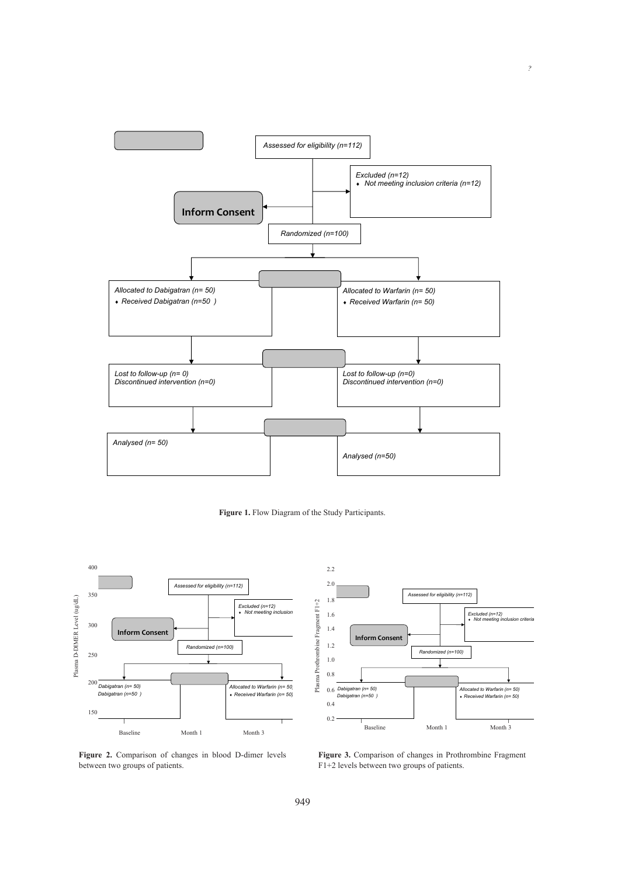







*?*

Figure 2. Comparison of changes in blood D-dimer levels between two groups of patients.

Figure 3. Comparison of changes in Prothrombine Fragment F<sub>1</sub>+2 levels between two groups of patients.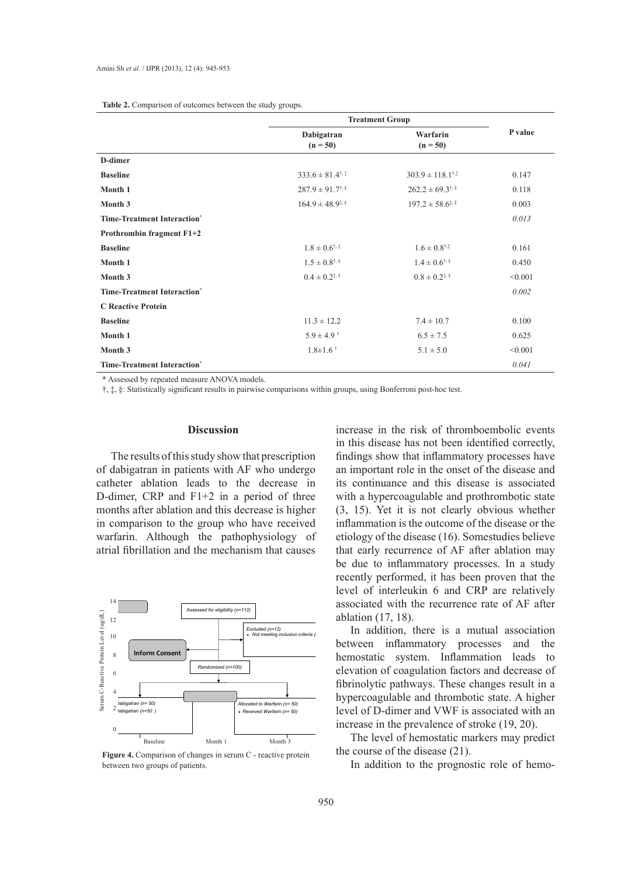| <b>Table 2.</b> Comparison of outcomes between the study groups. |  |  |  |
|------------------------------------------------------------------|--|--|--|
|------------------------------------------------------------------|--|--|--|

|                                    | <b>Treatment Group</b>                                                  |                                      |         |
|------------------------------------|-------------------------------------------------------------------------|--------------------------------------|---------|
|                                    | Dabigatran<br>$(n = 50)$                                                | Warfarin<br>$(n = 50)$               | P value |
| D-dimer                            |                                                                         |                                      |         |
| <b>Baseline</b>                    | $333.6 \pm 81.4$ <sup><math>\dagger</math>, <math>\ddagger</math></sup> | $303.9 \pm 118.1^{\dagger,\ddagger}$ | 0.147   |
| Month 1                            | $287.9 \pm 91.7$ <sup>†, §</sup>                                        | $262.2 \pm 69.3$ <sup>†, §</sup>     | 0.118   |
| Month 3                            | $164.9 \pm 48.9$ <sup>**</sup>                                          | $197.2 \pm 58.6$ <sup>**</sup>       | 0.003   |
| <b>Time-Treatment Interaction*</b> |                                                                         |                                      | 0.013   |
| Prothrombin fragment F1+2          |                                                                         |                                      |         |
| <b>Baseline</b>                    | $1.8 \pm 0.6$ <sup>†, ‡</sup>                                           | $1.6 \pm 0.8$ <sup>†.‡</sup>         | 0.161   |
| Month 1                            | $1.5 \pm 0.8$ <sup>†, §</sup>                                           | $1.4 \pm 0.6$ <sup>†, §</sup>        | 0.450   |
| Month 3                            | $0.4 \pm 0.2$ <sup>*</sup>                                              | $0.8 \pm 0.2$ <sup>*</sup>           | < 0.001 |
| <b>Time-Treatment Interaction*</b> |                                                                         |                                      | 0.002   |
| <b>C</b> Reactive Protein          |                                                                         |                                      |         |
| <b>Baseline</b>                    | $11.3 \pm 12.2$                                                         | $7.4 \pm 10.7$                       | 0.100   |
| Month 1                            | $5.9 \pm 4.9$ <sup>†</sup>                                              | $6.5 \pm 7.5$                        | 0.625   |
| Month 3                            | $1.8 \pm 1.6$ <sup>†</sup>                                              | $5.1 \pm 5.0$                        | < 0.001 |
| <b>Time-Treatment Interaction*</b> |                                                                         |                                      | 0.041   |

\* Assessed by repeated measure ANOVA models.

†, ‡, §: Statistically significant results in pairwise comparisons within groups, using Bonferroni post-hoc test.

# **Discussion**

The results of this study show that prescription of dabigatran in patients with AF who undergo catheter ablation leads to the decrease in D-dimer, CRP and F1+2 in a period of three months after ablation and this decrease is higher in comparison to the group who have received warfarin. Although the pathophysiology of atrial fibrillation and the mechanism that causes



**Figure 4.** Comparison of changes in serum C - reactive protein between two groups of patients.

increase in the risk of thromboembolic events in this disease has not been identified correctly, findings show that inflammatory processes have an important role in the onset of the disease and its continuance and this disease is associated with a hypercoagulable and prothrombotic state (3, 15). Yet it is not clearly obvious whether inflammation is the outcome of the disease or the etiology of the disease (16). Somestudies believe that early recurrence of AF after ablation may be due to inflammatory processes. In a study recently performed, it has been proven that the level of interleukin 6 and CRP are relatively associated with the recurrence rate of AF after ablation (17, 18).

In addition, there is a mutual association between inflammatory processes and the *Note meeting in the mostatic system.* Inflammation leads to elevation of coagulation factors and decrease of fibrinolytic pathways. These changes result in a hypercoagulable and thrombotic state. A higher level of D-dimer and VWF is associated with an increase in the prevalence of stroke (19, 20).

> The level of hemostatic markers may predict the course of the disease (21).

In addition to the prognostic role of hemo-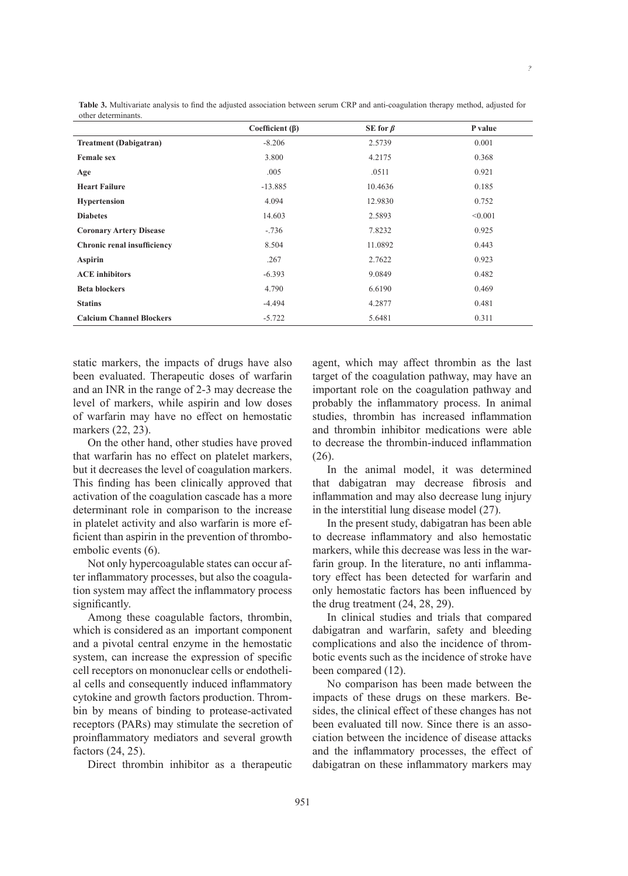| Coefficient $(\beta)$ | SE for $\beta$ | P value |
|-----------------------|----------------|---------|
| $-8.206$              | 2.5739         | 0.001   |
| 3.800                 | 4.2175         | 0.368   |
| .005                  | .0511          | 0.921   |
| $-13.885$             | 10.4636        | 0.185   |
| 4.094                 | 12.9830        | 0.752   |
| 14.603                | 2.5893         | < 0.001 |
| $-.736$               | 7.8232         | 0.925   |
| 8.504                 | 11.0892        | 0.443   |
| .267                  | 2.7622         | 0.923   |
| $-6.393$              | 9.0849         | 0.482   |
| 4.790                 | 6.6190         | 0.469   |
| $-4.494$              | 4.2877         | 0.481   |
|                       |                |         |

**Calcium Channel Blockers** -5.722 5.6481 0.311

**Table 3.** Multivariate analysis to find the adjusted association between serum CRP and anti-coagulation therapy method, adjusted for other determinants.

static markers, the impacts of drugs have also been evaluated. Therapeutic doses of warfarin and an INR in the range of 2-3 may decrease the level of markers, while aspirin and low doses of warfarin may have no effect on hemostatic markers (22, 23).

On the other hand, other studies have proved that warfarin has no effect on platelet markers, but it decreases the level of coagulation markers. This finding has been clinically approved that activation of the coagulation cascade has a more determinant role in comparison to the increase in platelet activity and also warfarin is more efficient than aspirin in the prevention of thromboembolic events (6).

Not only hypercoagulable states can occur after inflammatory processes, but also the coagulation system may affect the inflammatory process significantly.

Among these coagulable factors, thrombin, which is considered as an important component and a pivotal central enzyme in the hemostatic system, can increase the expression of specific cell receptors on mononuclear cells or endothelial cells and consequently induced inflammatory cytokine and growth factors production. Thrombin by means of binding to protease-activated receptors (PARs) may stimulate the secretion of proinflammatory mediators and several growth factors (24, 25).

Direct thrombin inhibitor as a therapeutic

agent, which may affect thrombin as the last target of the coagulation pathway, may have an important role on the coagulation pathway and probably the inflammatory process. In animal studies, thrombin has increased inflammation and thrombin inhibitor medications were able to decrease the thrombin-induced inflammation (26).

*?*

In the animal model, it was determined that dabigatran may decrease fibrosis and inflammation and may also decrease lung injury in the interstitial lung disease model (27).

In the present study, dabigatran has been able to decrease inflammatory and also hemostatic markers, while this decrease was less in the warfarin group. In the literature, no anti inflammatory effect has been detected for warfarin and only hemostatic factors has been influenced by the drug treatment (24, 28, 29).

In clinical studies and trials that compared dabigatran and warfarin, safety and bleeding complications and also the incidence of thrombotic events such as the incidence of stroke have been compared (12).

No comparison has been made between the impacts of these drugs on these markers. Besides, the clinical effect of these changes has not been evaluated till now. Since there is an association between the incidence of disease attacks and the inflammatory processes, the effect of dabigatran on these inflammatory markers may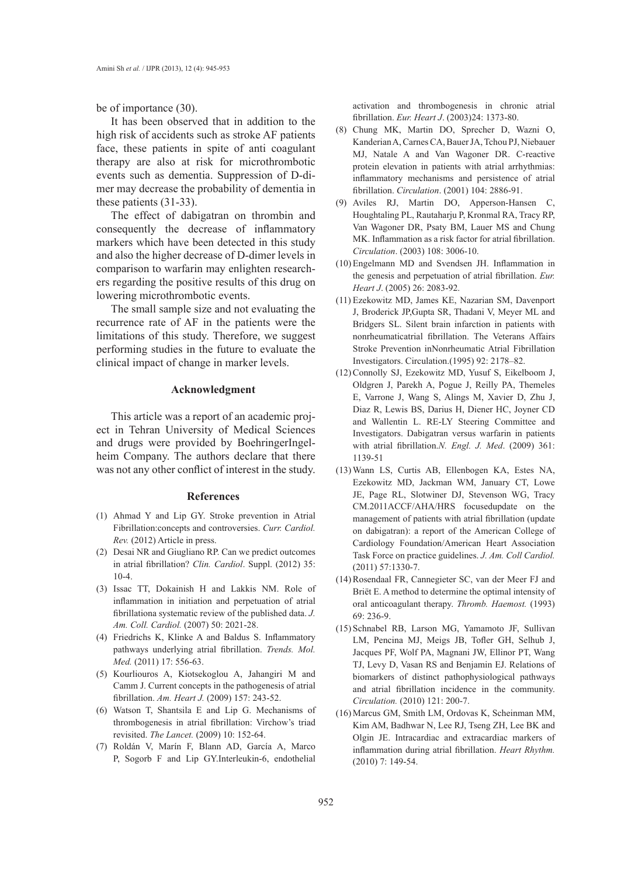be of importance (30).

It has been observed that in addition to the high risk of accidents such as stroke AF patients face, these patients in spite of anti coagulant therapy are also at risk for microthrombotic events such as dementia. Suppression of D-dimer may decrease the probability of dementia in these patients (31-33).

The effect of dabigatran on thrombin and consequently the decrease of inflammatory markers which have been detected in this study and also the higher decrease of D-dimer levels in comparison to warfarin may enlighten researchers regarding the positive results of this drug on lowering microthrombotic events.

The small sample size and not evaluating the recurrence rate of AF in the patients were the limitations of this study. Therefore, we suggest performing studies in the future to evaluate the clinical impact of change in marker levels.

# **Acknowledgment**

This article was a report of an academic project in Tehran University of Medical Sciences and drugs were provided by BoehringerIngelheim Company. The authors declare that there was not any other conflict of interest in the study.

#### **References**

- Ahmad Y and Lip GY. Stroke prevention in Atrial (1) Fibrillation:concepts and controversies. *Curr. Cardiol. Rev.* (2012) Article in press.
- (2) Desai NR and Giugliano RP. Can we predict outcomes in atrial fibrillation? *Clin. Cardiol*. Suppl. (2012) 35: 10-4.
- (3) Issac TT, Dokainish H and Lakkis NM. Role of inflammation in initiation and perpetuation of atrial fibrillationa systematic review of the published data. *J. Am. Coll. Cardiol.* (2007) 50: 2021-28.
- Friedrichs K, Klinke A and Baldus S. Inflammatory (4) pathways underlying atrial fibrillation. *Trends. Mol. Med.* (2011) 17: 556-63.
- (5) Kourliouros A, Kiotsekoglou A, Jahangiri M and Camm J. Current concepts in the pathogenesis of atrial fibrillation. *Am. Heart J.* (2009) 157: 243-52.
- Watson T, Shantsila E and Lip G. Mechanisms of (6) thrombogenesis in atrial fibrillation: Virchow's triad revisited. *The Lancet.* (2009) 10: 152-64.
- Roldán V, Marín F, Blann AD, García A, Marco (7) P, Sogorb F and Lip GY.Interleukin-6, endothelial

activation and thrombogenesis in chronic atrial fibrillation. *Eur. Heart J*. (2003)24: 1373-80.

- Chung MK, Martin DO, Sprecher D, Wazni O, (8) Kanderian A, Carnes CA, Bauer JA, Tchou PJ, Niebauer MJ, Natale A and Van Wagoner DR. C-reactive protein elevation in patients with atrial arrhythmias: inflammatory mechanisms and persistence of atrial fibrillation. *Circulation*. (2001) 104: 2886-91.
- Aviles RJ, Martin DO, Apperson-Hansen C, (9) Houghtaling PL, Rautaharju P, Kronmal RA, Tracy RP, Van Wagoner DR, Psaty BM, Lauer MS and Chung MK. Inflammation as a risk factor for atrial fibrillation. *Circulation*. (2003) 108: 3006-10.
- Engelmann MD and Svendsen JH. Inflammation in (10) the genesis and perpetuation of atrial fibrillation. *Eur. Heart J*. (2005) 26: 2083-92.
- Ezekowitz MD, James KE, Nazarian SM, Davenport (11) J, Broderick JP,Gupta SR, Thadani V, Meyer ML and Bridgers SL. Silent brain infarction in patients with nonrheumaticatrial fibrillation. The Veterans Affairs Stroke Prevention inNonrheumatic Atrial Fibrillation Investigators. Circulation.(1995) 92: 2178–82.
- (12) Connolly SJ, Ezekowitz MD, Yusuf S, Eikelboom J, Oldgren J, Parekh A, Pogue J, Reilly PA, Themeles E, Varrone J, Wang S, Alings M, Xavier D, Zhu J, Diaz R, Lewis BS, Darius H, Diener HC, Joyner CD and Wallentin L. RE-LY Steering Committee and Investigators. Dabigatran versus warfarin in patients with atrial fibrillation.*N. Engl. J. Med*. (2009) 361: 1139-51
- Wann LS, Curtis AB, Ellenbogen KA, Estes NA, (13) Ezekowitz MD, Jackman WM, January CT, Lowe JE, Page RL, Slotwiner DJ, Stevenson WG, Tracy CM.2011ACCF/AHA/HRS focusedupdate on the management of patients with atrial fibrillation (update on dabigatran): a report of the American College of Cardiology Foundation/American Heart Association Task Force on practice guidelines. *J. Am. Coll Cardiol.* (2011) 57:1330-7.
- (14) Rosendaal FR, Cannegieter SC, van der Meer FJ and Briët E. A method to determine the optimal intensity of oral anticoagulant therapy. *Thromb. Haemost.* (1993) 69: 236-9.
- (15) Schnabel RB, Larson MG, Yamamoto JF, Sullivan LM, Pencina MJ, Meigs JB, Tofler GH, Selhub J, Jacques PF, Wolf PA, Magnani JW, Ellinor PT, Wang TJ, Levy D, Vasan RS and Benjamin EJ. Relations of biomarkers of distinct pathophysiological pathways and atrial fibrillation incidence in the community. *Circulation.* (2010) 121: 200-7.
- (16) Marcus GM, Smith LM, Ordovas K, Scheinman MM, Kim AM, Badhwar N, Lee RJ, Tseng ZH, Lee BK and Olgin JE. Intracardiac and extracardiac markers of inflammation during atrial fibrillation. *Heart Rhythm.* (2010) 7: 149-54.